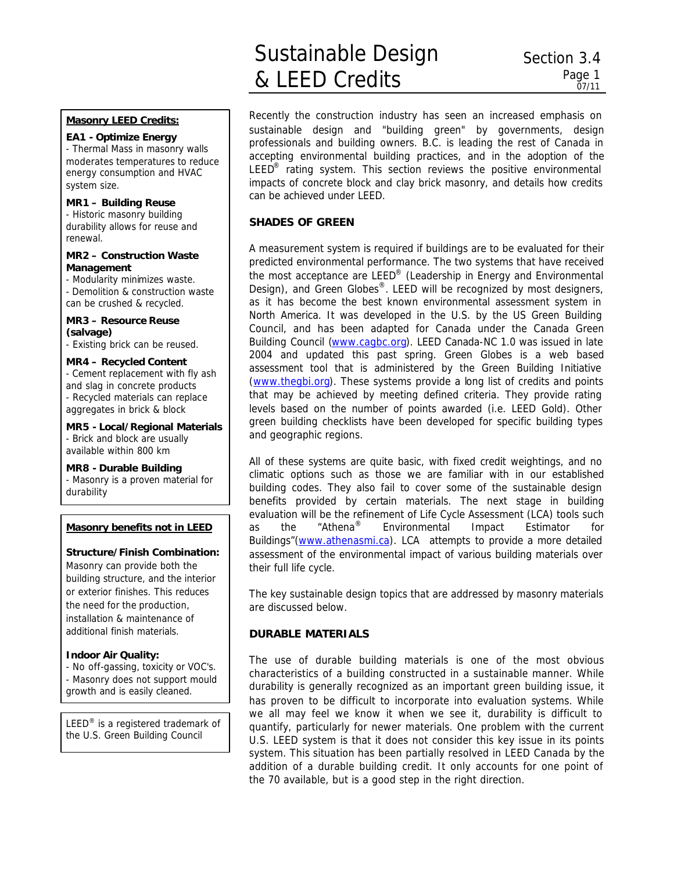# Sustainable Design & LEED Credits

# **Masonry LEED Credits:**

# **EA1 - Optimize Energy**

- Thermal Mass in masonry walls moderates temperatures to reduce energy consumption and HVAC system size.

## **MR1 – Building Reuse**

- Historic masonry building durability allows for reuse and renewal.

#### **MR2 – Construction Waste Management**

- Modularity minimizes waste. - Demolition & construction waste can be crushed & recycled.

#### **MR3 – Resource Reuse (salvage)**

- Existing brick can be reused.

#### **MR4 – Recycled Content**

- Cement replacement with fly ash and slag in concrete products - Recycled materials can replace aggregates in brick & block

**MR5 - Local/Regional Materials** - Brick and block are usually available within 800 km

#### **MR8 - Durable Building**

- Masonry is a proven material for durability

#### **Masonry benefits not in LEED**

## **Structure/Finish Combination:**

Masonry can provide both the building structure, and the interior or exterior finishes. This reduces the need for the production, installation & maintenance of additional finish materials.

#### **Indoor Air Quality:**

- No off-gassing, toxicity or VOC's. - Masonry does not support mould

growth and is easily cleaned.

LEED<sup>®</sup> is a registered trademark of the U.S. Green Building Council

Recently the construction industry has seen an increased emphasis on sustainable design and "building green" by governments, design professionals and building owners. B.C. is leading the rest of Canada in accepting environmental building practices, and in the adoption of the LEED<sup>®</sup> rating system. This section reviews the positive environmental impacts of concrete block and clay brick masonry, and details how credits can be achieved under LEED.

## **SHADES OF GREEN**

A measurement system is required if buildings are to be evaluated for their predicted environmental performance. The two systems that have received the most acceptance are LEED<sup>®</sup> (Leadership in Energy and Environmental Design), and Green Globes<sup>®</sup>. LEED will be recognized by most designers, as it has become the best known environmental assessment system in North America. It was developed in the U.S. by the US Green Building Council, and has been adapted for Canada under the Canada Green Building Council (www.cagbc.org). LEED Canada-NC 1.0 was issued in late 2004 and updated this past spring. Green Globes is a web based assessment tool that is administered by the Green Building Initiative (www.thegbi.org). These systems provide a long list of credits and points that may be achieved by meeting defined criteria. They provide rating levels based on the number of points awarded (i.e. LEED Gold). Other green building checklists have been developed for specific building types and geographic regions.

All of these systems are quite basic, with fixed credit weightings, and no climatic options such as those we are familiar with in our established building codes. They also fail to cover some of the sustainable design benefits provided by certain materials. The next stage in building evaluation will be the refinement of Life Cycle Assessment (LCA) tools such as the "Athena® Environmental Impact Estimator for Buildings"(www.athenasmi.ca). LCA attempts to provide a more detailed assessment of the environmental impact of various building materials over their full life cycle.

The key sustainable design topics that are addressed by masonry materials are discussed below.

## **DURABLE MATERIALS**

The use of durable building materials is one of the most obvious characteristics of a building constructed in a sustainable manner. While durability is generally recognized as an important green building issue, it has proven to be difficult to incorporate into evaluation systems. While we all may feel we know it when we see it, durability is difficult to quantify, particularly for newer materials. One problem with the current U.S. LEED system is that it does not consider this key issue in its points system. This situation has been partially resolved in LEED Canada by the addition of a durable building credit. It only accounts for one point of the 70 available, but is a good step in the right direction.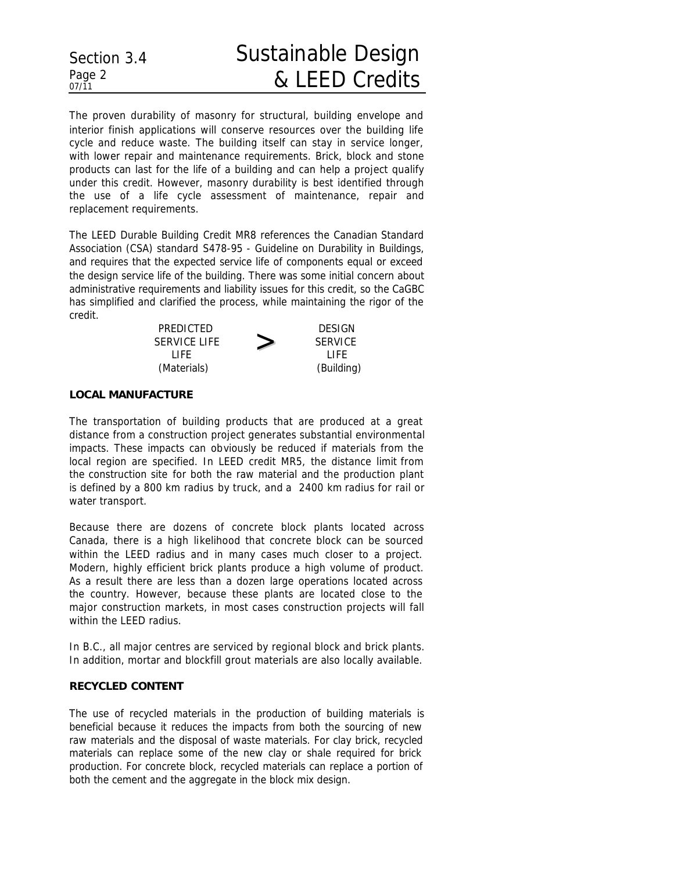#### Section 3.4 Page 2 *07/11* Sustainable Design & LEED Credits

The proven durability of masonry for structural, building envelope and interior finish applications will conserve resources over the building life cycle and reduce waste. The building itself can stay in service longer, with lower repair and maintenance requirements. Brick, block and stone products can last for the life of a building and can help a project qualify under this credit. However, masonry durability is best identified through the use of a life cycle assessment of maintenance, repair and replacement requirements.

The LEED Durable Building Credit MR8 references the Canadian Standard Association (CSA) standard *S478-95 - Guideline on Durability in Buildings*, and requires that the expected service life of components equal or exceed the design service life of the building. There was some initial concern about administrative requirements and liability issues for this credit, so the CaGBC has simplified and clarified the process, while maintaining the rigor of the credit.

| PREDICTED           |   | <b>DESIGN</b> |
|---------------------|---|---------------|
| <b>SERVICE LIFE</b> | ╱ | SERVICE       |
| l IFF.              |   | LIFF.         |
| (Materials)         |   | (Building)    |

### **LOCAL MANUFACTURE**

The transportation of building products that are produced at a great distance from a construction project generates substantial environmental impacts. These impacts can obviously be reduced if materials from the local region are specified. In LEED credit MR5, the distance limit from the construction site for both the raw material and the production plant is defined by a 800 km radius by truck, and a 2400 km radius for rail or water transport.

Because there are dozens of concrete block plants located across Canada, there is a high likelihood that concrete block can be sourced within the LEED radius and in many cases much closer to a project. Modern, highly efficient brick plants produce a high volume of product. As a result there are less than a dozen large operations located across the country. However, because these plants are located close to the major construction markets, in most cases construction projects will fall within the LEED radius.

In B.C., all major centres are serviced by regional block and brick plants. In addition, mortar and blockfill grout materials are also locally available.

## **RECYCLED CONTENT**

The use of recycled materials in the production of building materials is beneficial because it reduces the impacts from both the sourcing of new raw materials and the disposal of waste materials. For clay brick, recycled materials can replace some of the new clay or shale required for brick production. For concrete block, recycled materials can replace a portion of both the cement and the aggregate in the block mix design.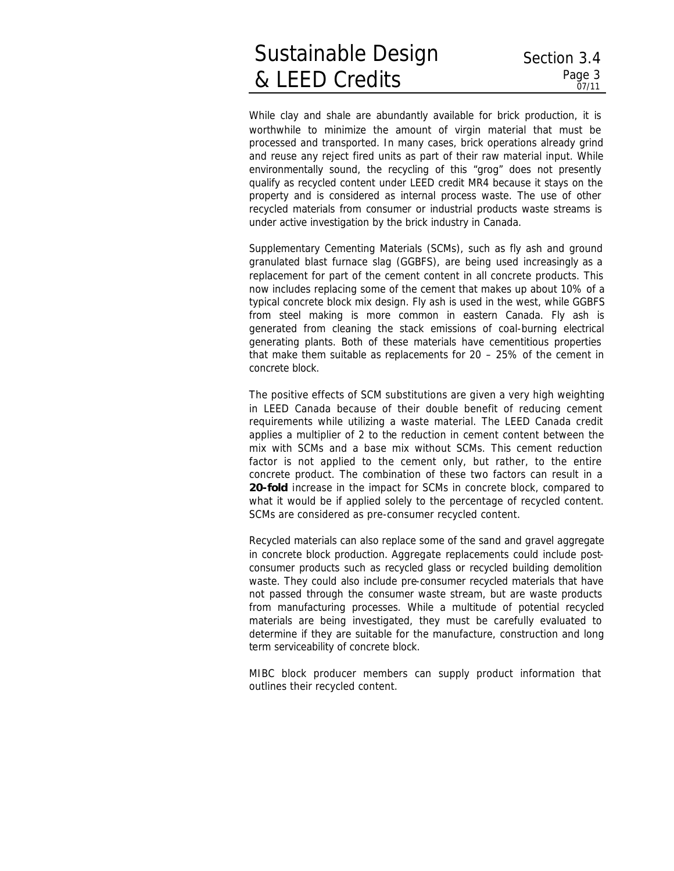# Sustainable Design & LEED Credits

While clay and shale are abundantly available for brick production, it is worthwhile to minimize the amount of virgin material that must be processed and transported. In many cases, brick operations already grind and reuse any reject fired units as part of their raw material input. While environmentally sound, the recycling of this "grog" does not presently qualify as recycled content under LEED credit MR4 because it stays on the property and is considered as internal process waste. The use of other recycled materials from consumer or industrial products waste streams is under active investigation by the brick industry in Canada.

Supplementary Cementing Materials (SCMs), such as fly ash and ground granulated blast furnace slag (GGBFS), are being used increasingly as a replacement for part of the cement content in all concrete products. This now includes replacing some of the cement that makes up about 10% of a typical concrete block mix design. Fly ash is used in the west, while GGBFS from steel making is more common in eastern Canada. Fly ash is generated from cleaning the stack emissions of coal-burning electrical generating plants. Both of these materials have cementitious properties that make them suitable as replacements for 20 – 25% of the cement in concrete block.

The positive effects of SCM substitutions are given a very high weighting in LEED Canada because of their double benefit of reducing cement requirements while utilizing a waste material. The LEED Canada credit applies a multiplier of 2 to the reduction in cement content between the mix with SCMs and a base mix without SCMs. This cement reduction factor is not applied to the cement only, but rather, to the entire concrete product. The combination of these two factors can result in a **20-fold** increase in the impact for SCMs in concrete block, compared to what it would be if applied solely to the percentage of recycled content. SCMs are considered as pre-consumer recycled content.

Recycled materials can also replace some of the sand and gravel aggregate in concrete block production. Aggregate replacements could include postconsumer products such as recycled glass or recycled building demolition waste. They could also include pre-consumer recycled materials that have not passed through the consumer waste stream, but are waste products from manufacturing processes. While a multitude of potential recycled materials are being investigated, they must be carefully evaluated to determine if they are suitable for the manufacture, construction and long term serviceability of concrete block.

MIBC block producer members can supply product information that outlines their recycled content.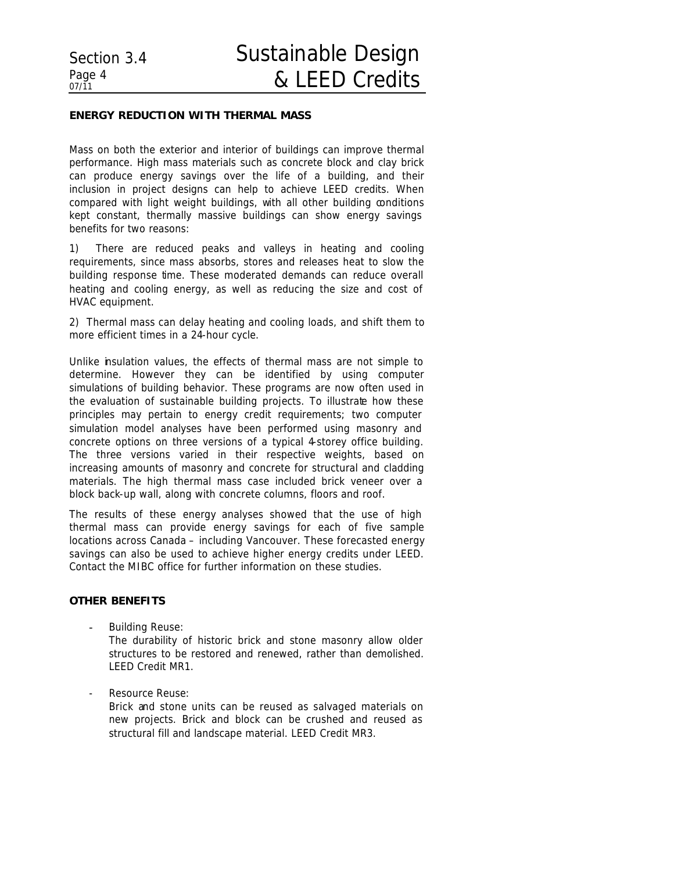# **ENERGY REDUCTION WITH THERMAL MASS**

Mass on both the exterior and interior of buildings can improve thermal performance. High mass materials such as concrete block and clay brick can produce energy savings over the life of a building, and their inclusion in project designs can help to achieve LEED credits. When compared with light weight buildings, with all other building conditions kept constant, thermally massive buildings can show energy savings benefits for two reasons:

1) There are reduced peaks and valleys in heating and cooling requirements, since mass absorbs, stores and releases heat to slow the building response time. These moderated demands can reduce overall heating and cooling energy, as well as reducing the size and cost of HVAC equipment.

2) Thermal mass can delay heating and cooling loads, and shift them to more efficient times in a 24-hour cycle.

Unlike insulation values, the effects of thermal mass are not simple to determine. However they can be identified by using computer simulations of building behavior. These programs are now often used in the evaluation of sustainable building projects. To illustrate how these principles may pertain to energy credit requirements; two computer simulation model analyses have been performed using masonry and concrete options on three versions of a typical 4-storey office building. The three versions varied in their respective weights, based on increasing amounts of masonry and concrete for structural and cladding materials. The high thermal mass case included brick veneer over a block back-up wall, along with concrete columns, floors and roof.

The results of these energy analyses showed that the use of high thermal mass can provide energy savings for each of five sample locations across Canada – including Vancouver. These forecasted energy savings can also be used to achieve higher energy credits under LEED. Contact the MIBC office for further information on these studies.

## **OTHER BENEFITS**

**-** Building Reuse:

The durability of historic brick and stone masonry allow older structures to be restored and renewed, rather than demolished. LEED Credit MR1.

Resource Reuse:

Brick and stone units can be reused as salvaged materials on new projects. Brick and block can be crushed and reused as structural fill and landscape material. LEED Credit MR3.